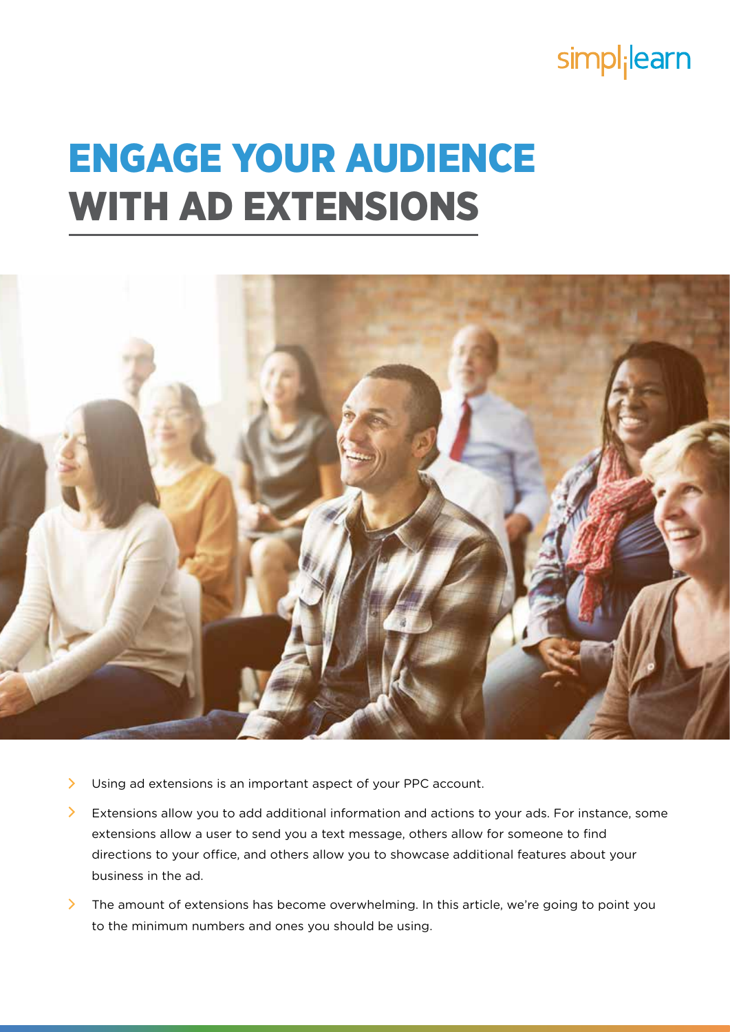# simpl<sub>i</sub>learn

# ENGAGE YOUR AUDIENCE WITH AD EXTENSIONS



- $\sum$ Using ad extensions is an important aspect of your PPC account.
- $\sum$ Extensions allow you to add additional information and actions to your ads. For instance, some extensions allow a user to send you a text message, others allow for someone to find directions to your office, and others allow you to showcase additional features about your business in the ad.
- The amount of extensions has become overwhelming. In this article, we're going to point you to the minimum numbers and ones you should be using.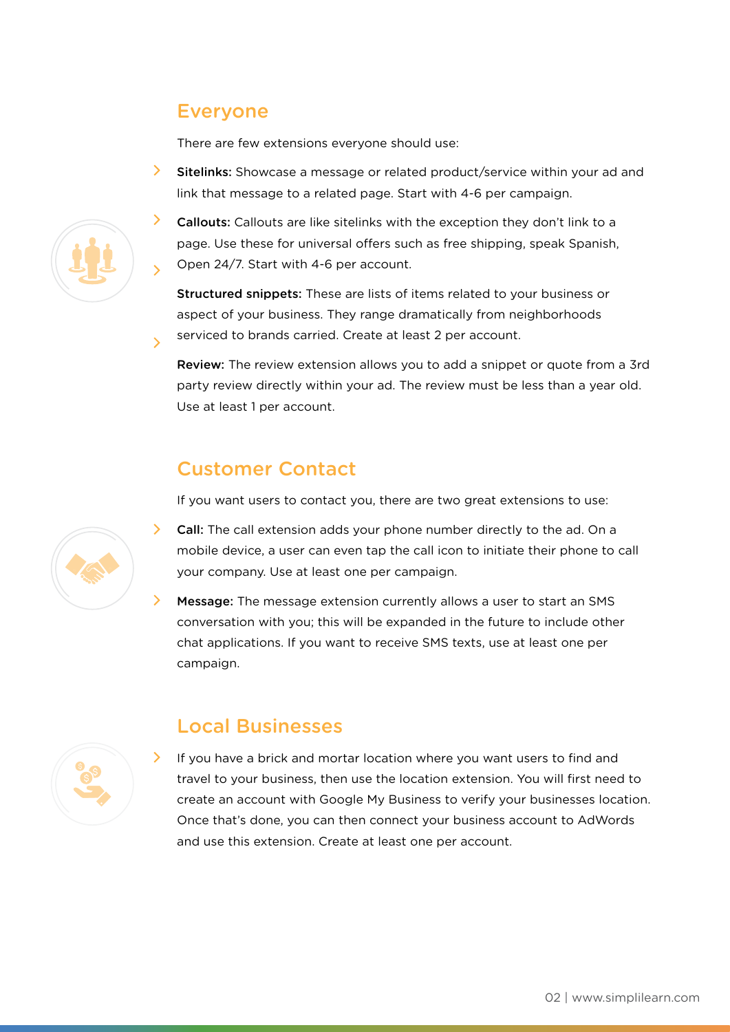#### Everyone

There are few extensions everyone should use:

Sitelinks: Showcase a message or related product/service within your ad and link that message to a related page. Start with 4-6 per campaign.



Structured snippets: These are lists of items related to your business or aspect of your business. They range dramatically from neighborhoods serviced to brands carried. Create at least 2 per account.

Review: The review extension allows you to add a snippet or quote from a 3rd party review directly within your ad. The review must be less than a year old. Use at least 1 per account.

# Customer Contact

If you want users to contact you, there are two great extensions to use:

- $\sum$  Call: The call extension adds your phone number directly to the ad. On a mobile device, a user can even tap the call icon to initiate their phone to call your company. Use at least one per campaign.
- Message: The message extension currently allows a user to start an SMS conversation with you; this will be expanded in the future to include other chat applications. If you want to receive SMS texts, use at least one per campaign.



#### Local Businesses

If you have a brick and mortar location where you want users to find and travel to your business, then use the location extension. You will first need to create an account with Google My Business to verify your businesses location. Once that's done, you can then connect your business account to AdWords and use this extension. Create at least one per account.